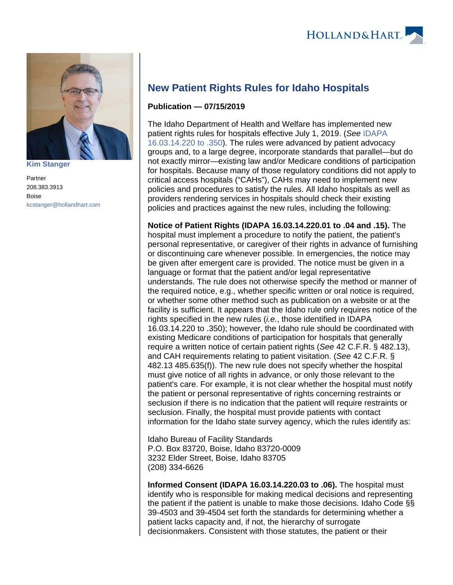

**[Kim Stanger](https://www.hollandhart.com/15954)**

Partner 208.383.3913 Boise [kcstanger@hollandhart.com](mailto:kcstanger@hollandhart.com)

## **New Patient Rights Rules for Idaho Hospitals**

## **Publication — 07/15/2019**

The Idaho Department of Health and Welfare has implemented new patient rights rules for hospitals effective July 1, 2019. (See [IDAPA](https://adminrules.idaho.gov/rules/current/16/160314.pdf)  [16.03.14.220 to .350\)](https://adminrules.idaho.gov/rules/current/16/160314.pdf). The rules were advanced by patient advocacy groups and, to a large degree, incorporate standards that parallel—but do not exactly mirror—existing law and/or Medicare conditions of participation for hospitals. Because many of those regulatory conditions did not apply to critical access hospitals ("CAHs"), CAHs may need to implement new policies and procedures to satisfy the rules. All Idaho hospitals as well as providers rendering services in hospitals should check their existing policies and practices against the new rules, including the following:

**Notice of Patient Rights (IDAPA 16.03.14.220.01 to .04 and .15).** The hospital must implement a procedure to notify the patient, the patient's personal representative, or caregiver of their rights in advance of furnishing or discontinuing care whenever possible. In emergencies, the notice may be given after emergent care is provided. The notice must be given in a language or format that the patient and/or legal representative understands. The rule does not otherwise specify the method or manner of the required notice, e.g., whether specific written or oral notice is required, or whether some other method such as publication on a website or at the facility is sufficient. It appears that the Idaho rule only requires notice of the rights specified in the new rules (*i.e.*, those identified in IDAPA 16.03.14.220 to .350); however, the Idaho rule should be coordinated with existing Medicare conditions of participation for hospitals that generally require a written notice of certain patient rights (See 42 C.F.R. § 482.13), and CAH requirements relating to patient visitation. (See 42 C.F.R. § 482.13 485.635(f)). The new rule does not specify whether the hospital must give notice of all rights in advance, or only those relevant to the patient's care. For example, it is not clear whether the hospital must notify the patient or personal representative of rights concerning restraints or seclusion if there is no indication that the patient will require restraints or seclusion. Finally, the hospital must provide patients with contact information for the Idaho state survey agency, which the rules identify as:

Idaho Bureau of Facility Standards P.O. Box 83720, Boise, Idaho 83720-0009 3232 Elder Street, Boise, Idaho 83705 (208) 334-6626

**Informed Consent (IDAPA 16.03.14.220.03 to .06).** The hospital must identify who is responsible for making medical decisions and representing the patient if the patient is unable to make those decisions. Idaho Code §§ 39-4503 and 39-4504 set forth the standards for determining whether a patient lacks capacity and, if not, the hierarchy of surrogate decisionmakers. Consistent with those statutes, the patient or their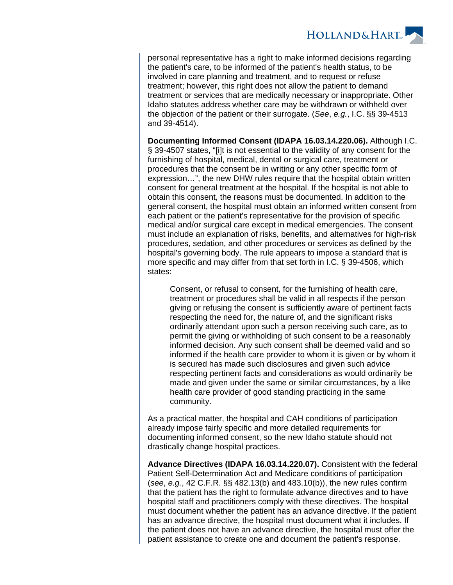**HOLLAND&HART** 

personal representative has a right to make informed decisions regarding the patient's care, to be informed of the patient's health status, to be involved in care planning and treatment, and to request or refuse treatment; however, this right does not allow the patient to demand treatment or services that are medically necessary or inappropriate. Other Idaho statutes address whether care may be withdrawn or withheld over the objection of the patient or their surrogate. (See, e.g., I.C. §§ 39-4513 and 39-4514).

**Documenting Informed Consent (IDAPA 16.03.14.220.06).** Although I.C. § 39-4507 states, "[i]t is not essential to the validity of any consent for the furnishing of hospital, medical, dental or surgical care, treatment or procedures that the consent be in writing or any other specific form of expression…", the new DHW rules require that the hospital obtain written consent for general treatment at the hospital. If the hospital is not able to obtain this consent, the reasons must be documented. In addition to the general consent, the hospital must obtain an informed written consent from each patient or the patient's representative for the provision of specific medical and/or surgical care except in medical emergencies. The consent must include an explanation of risks, benefits, and alternatives for high-risk procedures, sedation, and other procedures or services as defined by the hospital's governing body. The rule appears to impose a standard that is more specific and may differ from that set forth in I.C. § 39-4506, which states:

Consent, or refusal to consent, for the furnishing of health care, treatment or procedures shall be valid in all respects if the person giving or refusing the consent is sufficiently aware of pertinent facts respecting the need for, the nature of, and the significant risks ordinarily attendant upon such a person receiving such care, as to permit the giving or withholding of such consent to be a reasonably informed decision. Any such consent shall be deemed valid and so informed if the health care provider to whom it is given or by whom it is secured has made such disclosures and given such advice respecting pertinent facts and considerations as would ordinarily be made and given under the same or similar circumstances, by a like health care provider of good standing practicing in the same community.

As a practical matter, the hospital and CAH conditions of participation already impose fairly specific and more detailed requirements for documenting informed consent, so the new Idaho statute should not drastically change hospital practices.

**Advance Directives (IDAPA 16.03.14.220.07).** Consistent with the federal Patient Self-Determination Act and Medicare conditions of participation (see, e.g., 42 C.F.R. §§ 482.13(b) and 483.10(b)), the new rules confirm that the patient has the right to formulate advance directives and to have hospital staff and practitioners comply with these directives. The hospital must document whether the patient has an advance directive. If the patient has an advance directive, the hospital must document what it includes. If the patient does not have an advance directive, the hospital must offer the patient assistance to create one and document the patient's response.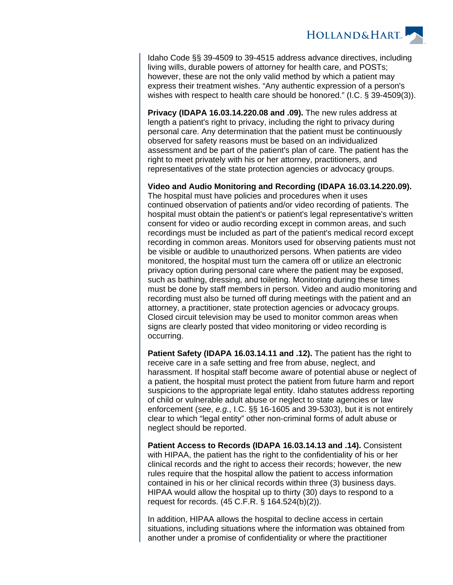

Idaho Code §§ 39-4509 to 39-4515 address advance directives, including living wills, durable powers of attorney for health care, and POSTs; however, these are not the only valid method by which a patient may express their treatment wishes. "Any authentic expression of a person's wishes with respect to health care should be honored." (I.C. § 39-4509(3)).

**Privacy (IDAPA 16.03.14.220.08 and .09).** The new rules address at length a patient's right to privacy, including the right to privacy during personal care. Any determination that the patient must be continuously observed for safety reasons must be based on an individualized assessment and be part of the patient's plan of care. The patient has the right to meet privately with his or her attorney, practitioners, and representatives of the state protection agencies or advocacy groups.

**Video and Audio Monitoring and Recording (IDAPA 16.03.14.220.09).**  The hospital must have policies and procedures when it uses continued observation of patients and/or video recording of patients. The hospital must obtain the patient's or patient's legal representative's written consent for video or audio recording except in common areas, and such recordings must be included as part of the patient's medical record except recording in common areas. Monitors used for observing patients must not be visible or audible to unauthorized persons. When patients are video monitored, the hospital must turn the camera off or utilize an electronic privacy option during personal care where the patient may be exposed, such as bathing, dressing, and toileting. Monitoring during these times must be done by staff members in person. Video and audio monitoring and recording must also be turned off during meetings with the patient and an attorney, a practitioner, state protection agencies or advocacy groups. Closed circuit television may be used to monitor common areas when signs are clearly posted that video monitoring or video recording is occurring.

**Patient Safety (IDAPA 16.03.14.11 and .12).** The patient has the right to receive care in a safe setting and free from abuse, neglect, and harassment. If hospital staff become aware of potential abuse or neglect of a patient, the hospital must protect the patient from future harm and report suspicions to the appropriate legal entity. Idaho statutes address reporting of child or vulnerable adult abuse or neglect to state agencies or law enforcement (see, e.g., I.C. §§ 16-1605 and 39-5303), but it is not entirely clear to which "legal entity" other non-criminal forms of adult abuse or neglect should be reported.

**Patient Access to Records (IDAPA 16.03.14.13 and .14).** Consistent with HIPAA, the patient has the right to the confidentiality of his or her clinical records and the right to access their records; however, the new rules require that the hospital allow the patient to access information contained in his or her clinical records within three (3) business days. HIPAA would allow the hospital up to thirty (30) days to respond to a request for records. (45 C.F.R. § 164.524(b)(2)).

In addition, HIPAA allows the hospital to decline access in certain situations, including situations where the information was obtained from another under a promise of confidentiality or where the practitioner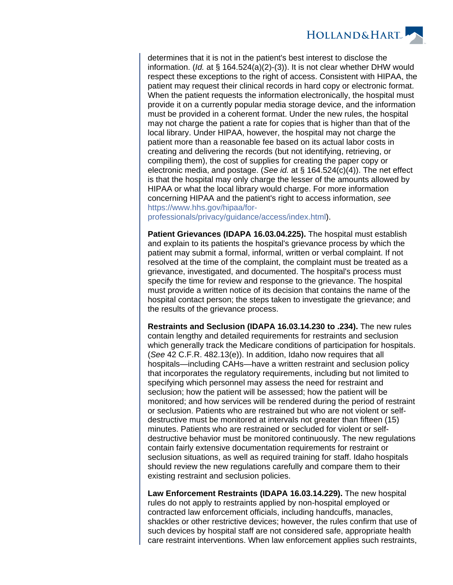

determines that it is not in the patient's best interest to disclose the information. (Id. at § 164.524(a)(2)-(3)). It is not clear whether DHW would respect these exceptions to the right of access. Consistent with HIPAA, the patient may request their clinical records in hard copy or electronic format. When the patient requests the information electronically, the hospital must provide it on a currently popular media storage device, and the information must be provided in a coherent format. Under the new rules, the hospital may not charge the patient a rate for copies that is higher than that of the local library. Under HIPAA, however, the hospital may not charge the patient more than a reasonable fee based on its actual labor costs in creating and delivering the records (but not identifying, retrieving, or compiling them), the cost of supplies for creating the paper copy or electronic media, and postage. (See id. at § 164.524(c)(4)). The net effect is that the hospital may only charge the lesser of the amounts allowed by HIPAA or what the local library would charge. For more information concerning HIPAA and the patient's right to access information, see [https://www.hhs.gov/hipaa/for-](https://www.hhs.gov/hipaa/for-professionals/privacy/guidance/access/index.html)

[professionals/privacy/guidance/access/index.html\)](https://www.hhs.gov/hipaa/for-professionals/privacy/guidance/access/index.html).

**Patient Grievances (IDAPA 16.03.04.225).** The hospital must establish and explain to its patients the hospital's grievance process by which the patient may submit a formal, informal, written or verbal complaint. If not resolved at the time of the complaint, the complaint must be treated as a grievance, investigated, and documented. The hospital's process must specify the time for review and response to the grievance. The hospital must provide a written notice of its decision that contains the name of the hospital contact person; the steps taken to investigate the grievance; and the results of the grievance process.

**Restraints and Seclusion (IDAPA 16.03.14.230 to .234).** The new rules contain lengthy and detailed requirements for restraints and seclusion which generally track the Medicare conditions of participation for hospitals. (See 42 C.F.R. 482.13(e)). In addition, Idaho now requires that all hospitals—including CAHs—have a written restraint and seclusion policy that incorporates the regulatory requirements, including but not limited to specifying which personnel may assess the need for restraint and seclusion; how the patient will be assessed; how the patient will be monitored; and how services will be rendered during the period of restraint or seclusion. Patients who are restrained but who are not violent or selfdestructive must be monitored at intervals not greater than fifteen (15) minutes. Patients who are restrained or secluded for violent or selfdestructive behavior must be monitored continuously. The new regulations contain fairly extensive documentation requirements for restraint or seclusion situations, as well as required training for staff. Idaho hospitals should review the new regulations carefully and compare them to their existing restraint and seclusion policies.

**Law Enforcement Restraints (IDAPA 16.03.14.229).** The new hospital rules do not apply to restraints applied by non-hospital employed or contracted law enforcement officials, including handcuffs, manacles, shackles or other restrictive devices; however, the rules confirm that use of such devices by hospital staff are not considered safe, appropriate health care restraint interventions. When law enforcement applies such restraints,